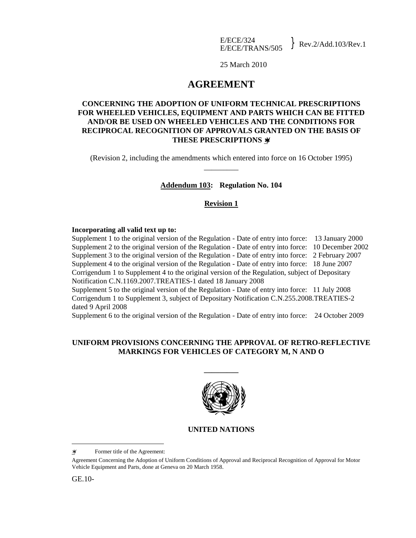25 March 2010

# **AGREEMENT**

## **CONCERNING THE ADOPTION OF UNIFORM TECHNICAL PRESCRIPTIONS FOR WHEELED VEHICLES, EQUIPMENT AND PARTS WHICH CAN BE FITTED AND/OR BE USED ON WHEELED VEHICLES AND THE CONDITIONS FOR RECIPROCAL RECOGNITION OF APPROVALS GRANTED ON THE BASIS OF THESE PRESCRIPTIONS** ∗**/**

(Revision 2, including the amendments which entered into force on 16 October 1995) \_\_\_\_\_\_\_\_\_

## **Addendum 103: Regulation No. 104**

## **Revision 1**

#### **Incorporating all valid text up to:**

Supplement 1 to the original version of the Regulation - Date of entry into force: 13 January 2000 Supplement 2 to the original version of the Regulation - Date of entry into force: 10 December 2002 Supplement 3 to the original version of the Regulation - Date of entry into force: 2 February 2007 Supplement 4 to the original version of the Regulation - Date of entry into force: 18 June 2007 Corrigendum 1 to Supplement 4 to the original version of the Regulation, subject of Depositary Notification C.N.1169.2007.TREATIES-1 dated 18 January 2008 Supplement 5 to the original version of the Regulation - Date of entry into force: 11 July 2008

Corrigendum 1 to Supplement 3, subject of Depositary Notification C.N.255.2008.TREATIES-2 dated 9 April 2008

Supplement 6 to the original version of the Regulation - Date of entry into force: 24 October 2009

## **UNIFORM PROVISIONS CONCERNING THE APPROVAL OF RETRO-REFLECTIVE MARKINGS FOR VEHICLES OF CATEGORY M, N AND O**

**\_\_\_\_\_\_\_\_\_** 



## **UNITED NATIONS**

GE.10-

i<br>L

<sup>∗</sup>/ Former title of the Agreement:

Agreement Concerning the Adoption of Uniform Conditions of Approval and Reciprocal Recognition of Approval for Motor Vehicle Equipment and Parts, done at Geneva on 20 March 1958.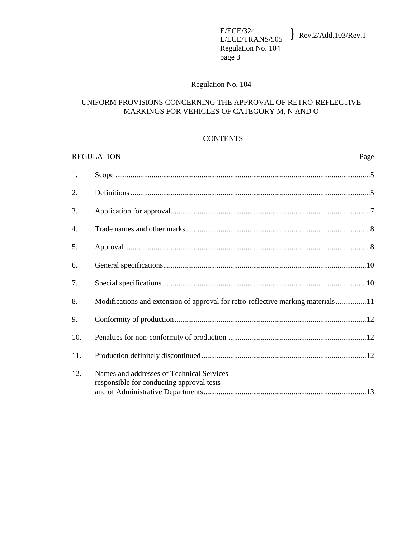E/ECE/324<br>E/ECE/TRANS/505  $\text{Rev.2/Add.103/Rev.1}$ Regulation No. 104 page 3

## Regulation No. 104

## UNIFORM PROVISIONS CONCERNING THE APPROVAL OF RETRO-REFLECTIVE MARKINGS FOR VEHICLES OF CATEGORY M, N AND O

#### **CONTENTS**

#### REGULATION Page

| 1.  |                                                                                        |
|-----|----------------------------------------------------------------------------------------|
| 2.  |                                                                                        |
| 3.  |                                                                                        |
| 4.  |                                                                                        |
| 5.  |                                                                                        |
| 6.  |                                                                                        |
| 7.  |                                                                                        |
| 8.  | Modifications and extension of approval for retro-reflective marking materials11       |
| 9.  |                                                                                        |
| 10. |                                                                                        |
| 11. |                                                                                        |
| 12. | Names and addresses of Technical Services<br>responsible for conducting approval tests |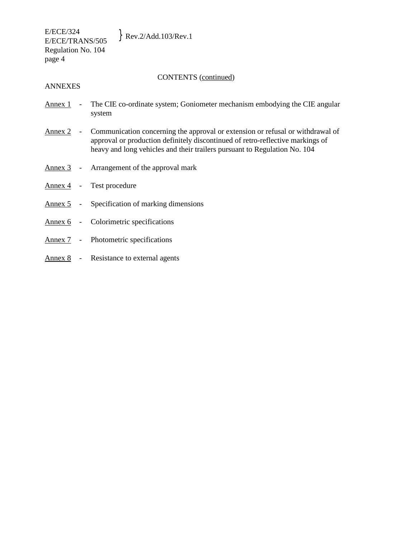CONTENTS (continued)

#### ANNEXES

- Annex 1 The CIE co-ordinate system; Goniometer mechanism embodying the CIE angular system
- Annex 2 Communication concerning the approval or extension or refusal or withdrawal of approval or production definitely discontinued of retro-reflective markings of heavy and long vehicles and their trailers pursuant to Regulation No. 104
- Annex 3 Arrangement of the approval mark
- Annex 4 Test procedure
- Annex 5 Specification of marking dimensions
- Annex 6 Colorimetric specifications
- Annex 7 Photometric specifications
- Annex 8 Resistance to external agents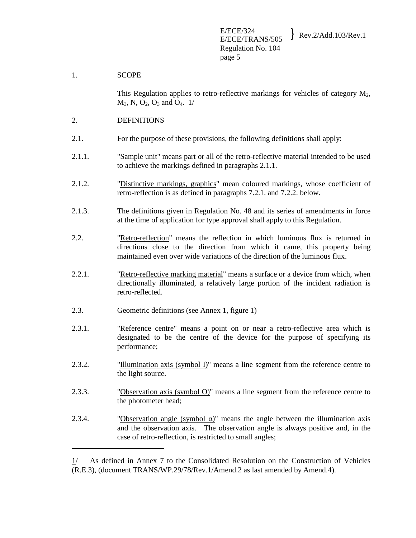#### 1. SCOPE

i<br>L

This Regulation applies to retro-reflective markings for vehicles of category  $M_2$ ,  $M_3$ , N, O<sub>2</sub>, O<sub>3</sub> and O<sub>4</sub>. 1/

#### 2. DEFINITIONS

- 2.1. For the purpose of these provisions, the following definitions shall apply:
- 2.1.1. "Sample unit" means part or all of the retro-reflective material intended to be used to achieve the markings defined in paragraphs 2.1.1.
- 2.1.2. "Distinctive markings, graphics" mean coloured markings, whose coefficient of retro-reflection is as defined in paragraphs 7.2.1. and 7.2.2. below.
- 2.1.3. The definitions given in Regulation No. 48 and its series of amendments in force at the time of application for type approval shall apply to this Regulation.
- 2.2. "Retro-reflection" means the reflection in which luminous flux is returned in directions close to the direction from which it came, this property being maintained even over wide variations of the direction of the luminous flux.
- 2.2.1. "Retro-reflective marking material" means a surface or a device from which, when directionally illuminated, a relatively large portion of the incident radiation is retro-reflected.
- 2.3. Geometric definitions (see Annex 1, figure 1)
- 2.3.1. "Reference centre" means a point on or near a retro-reflective area which is designated to be the centre of the device for the purpose of specifying its performance;
- 2.3.2. "Illumination axis (symbol I)" means a line segment from the reference centre to the light source.
- 2.3.3. "Observation axis (symbol  $O$ )" means a line segment from the reference centre to the photometer head;
- 2.3.4. "Observation angle (symbol  $\alpha$ )" means the angle between the illumination axis and the observation axis. The observation angle is always positive and, in the case of retro-reflection, is restricted to small angles;

<sup>1/</sup> As defined in Annex 7 to the Consolidated Resolution on the Construction of Vehicles (R.E.3), (document TRANS/WP.29/78/Rev.1/Amend.2 as last amended by Amend.4).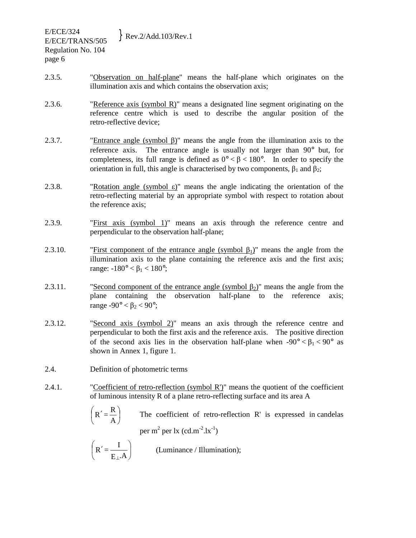- 2.3.5. "Observation on half-plane" means the half-plane which originates on the illumination axis and which contains the observation axis;
- 2.3.6. "Reference axis (symbol R)" means a designated line segment originating on the reference centre which is used to describe the angular position of the retro-reflective device;
- 2.3.7. "Entrance angle (symbol β)" means the angle from the illumination axis to the reference axis. The entrance angle is usually not larger than 90° but, for completeness, its full range is defined as  $0^{\circ} < \beta < 180^{\circ}$ . In order to specify the orientation in full, this angle is characterised by two components,  $\beta_1$  and  $\beta_2$ ;
- 2.3.8. "Rotation angle (symbol  $\varepsilon$ )" means the angle indicating the orientation of the retro-reflecting material by an appropriate symbol with respect to rotation about the reference axis;
- 2.3.9. "First axis (symbol 1)" means an axis through the reference centre and perpendicular to the observation half-plane;
- 2.3.10. "First component of the entrance angle (symbol  $\beta_1$ )" means the angle from the illumination axis to the plane containing the reference axis and the first axis; range:  $-180^\circ < β_1 < 180^\circ$ ;
- 2.3.11. "Second component of the entrance angle (symbol  $\beta_2$ )" means the angle from the plane containing the observation half-plane to the reference axis; range -90 $^{\circ}$  <  $\beta_2$  < 90 $^{\circ}$ ;
- 2.3.12. "Second axis (symbol 2)" means an axis through the reference centre and perpendicular to both the first axis and the reference axis. The positive direction of the second axis lies in the observation half-plane when  $-90^{\circ} < \beta_1 < 90^{\circ}$  as shown in Annex 1, figure 1.
- 2.4. Definition of photometric terms
- 2.4.1. "Coefficient of retro-reflection (symbol R')" means the quotient of the coefficient of luminous intensity R of a plane retro-reflecting surface and its area A
	- $\overline{\phantom{a}}$ J  $R' = \frac{R}{R}$ l  $\bigl( R' \bigr)$ A R The coefficient of retro-reflection R' is expressed in candelas per m  $^{2}$  per lx (cd.m<sup>-2</sup>.lx<sup>-1</sup>)
	- $\overline{\phantom{a}}$ J  $R' = \frac{I}{I}$ l  $\bigl( \begin{smallmatrix} 0 & \mathbb{R} \end{smallmatrix} \bigr)$ E⊥.A  $R' = \frac{I}{I}$  (Luminance / Illumination);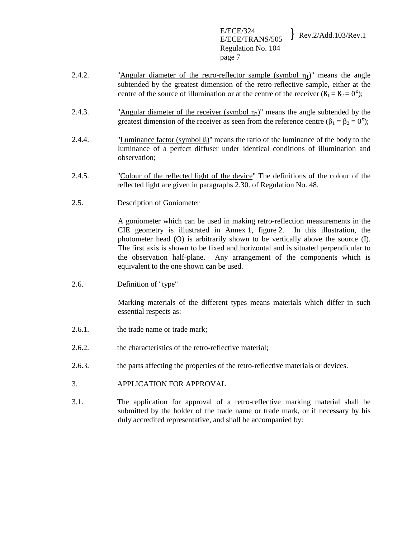E/ECE/324<br>E/ECE/TRANS/505 Rev.2/Add.103/Rev.1 Regulation No. 104 page 7

- 2.4.2. "Angular diameter of the retro-reflector sample (symbol  $\eta_1$ )" means the angle subtended by the greatest dimension of the retro-reflective sample, either at the centre of the source of illumination or at the centre of the receiver  $(\beta_1 = \beta_2 = 0^{\circ})$ ;
- 2.4.3. "Angular diameter of the receiver (symbol  $\eta_2$ )" means the angle subtended by the greatest dimension of the receiver as seen from the reference centre ( $\beta_1 = \beta_2 = 0^\circ$ );
- 2.4.4. "Luminance factor (symbol ß)" means the ratio of the luminance of the body to the luminance of a perfect diffuser under identical conditions of illumination and observation;
- 2.4.5. "Colour of the reflected light of the device" The definitions of the colour of the reflected light are given in paragraphs 2.30. of Regulation No. 48.
- 2.5. Description of Goniometer

A goniometer which can be used in making retro-reflection measurements in the CIE geometry is illustrated in Annex 1, figure 2. In this illustration, the photometer head (O) is arbitrarily shown to be vertically above the source (I). The first axis is shown to be fixed and horizontal and is situated perpendicular to the observation half-plane. Any arrangement of the components which is equivalent to the one shown can be used.

2.6. Definition of "type"

Marking materials of the different types means materials which differ in such essential respects as:

- 2.6.1. the trade name or trade mark;
- 2.6.2. the characteristics of the retro-reflective material;
- 2.6.3. the parts affecting the properties of the retro-reflective materials or devices.
- 3. APPLICATION FOR APPROVAL
- 3.1. The application for approval of a retro-reflective marking material shall be submitted by the holder of the trade name or trade mark, or if necessary by his duly accredited representative, and shall be accompanied by: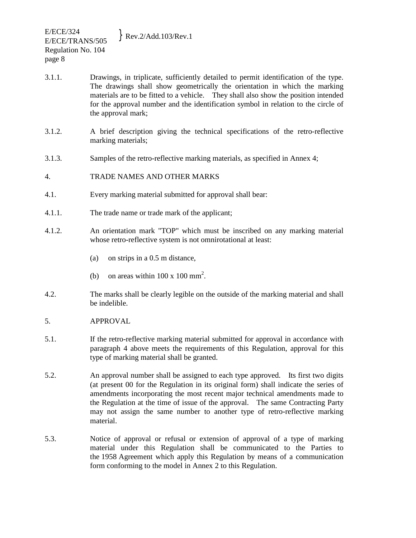- 3.1.1. Drawings, in triplicate, sufficiently detailed to permit identification of the type. The drawings shall show geometrically the orientation in which the marking materials are to be fitted to a vehicle. They shall also show the position intended for the approval number and the identification symbol in relation to the circle of the approval mark;
- 3.1.2. A brief description giving the technical specifications of the retro-reflective marking materials;
- 3.1.3. Samples of the retro-reflective marking materials, as specified in Annex 4;

#### 4. TRADE NAMES AND OTHER MARKS

- 4.1. Every marking material submitted for approval shall bear:
- 4.1.1. The trade name or trade mark of the applicant;
- 4.1.2. An orientation mark "TOP" which must be inscribed on any marking material whose retro-reflective system is not omnirotational at least:
	- (a) on strips in a 0.5 m distance,
	- (b) on areas within  $100 \times 100 \text{ mm}^2$ .
- 4.2. The marks shall be clearly legible on the outside of the marking material and shall be indelible.
- 5. APPROVAL
- 5.1. If the retro-reflective marking material submitted for approval in accordance with paragraph 4 above meets the requirements of this Regulation, approval for this type of marking material shall be granted.
- 5.2. An approval number shall be assigned to each type approved. Its first two digits (at present 00 for the Regulation in its original form) shall indicate the series of amendments incorporating the most recent major technical amendments made to the Regulation at the time of issue of the approval. The same Contracting Party may not assign the same number to another type of retro-reflective marking material.
- 5.3. Notice of approval or refusal or extension of approval of a type of marking material under this Regulation shall be communicated to the Parties to the 1958 Agreement which apply this Regulation by means of a communication form conforming to the model in Annex 2 to this Regulation.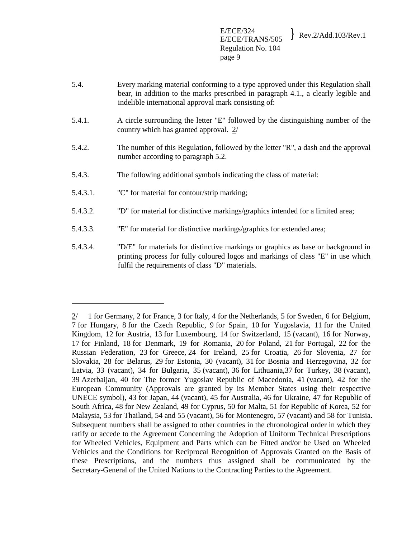- 5.4. Every marking material conforming to a type approved under this Regulation shall bear, in addition to the marks prescribed in paragraph 4.1., a clearly legible and indelible international approval mark consisting of:
- 5.4.1. A circle surrounding the letter "E" followed by the distinguishing number of the country which has granted approval. 2/
- 5.4.2. The number of this Regulation, followed by the letter "R", a dash and the approval number according to paragraph 5.2.
- 5.4.3. The following additional symbols indicating the class of material:
- 5.4.3.1. "C" for material for contour/strip marking;

i<br>L

- 5.4.3.2. "D" for material for distinctive markings/graphics intended for a limited area;
- 5.4.3.3. "E" for material for distinctive markings/graphics for extended area;
- 5.4.3.4. "D/E" for materials for distinctive markings or graphics as base or background in printing process for fully coloured logos and markings of class "E" in use which fulfil the requirements of class "D" materials.

<sup>2/ 1</sup> for Germany, 2 for France, 3 for Italy, 4 for the Netherlands, 5 for Sweden, 6 for Belgium, 7 for Hungary, 8 for the Czech Republic, 9 for Spain, 10 for Yugoslavia, 11 for the United Kingdom, 12 for Austria, 13 for Luxembourg, 14 for Switzerland, 15 (vacant), 16 for Norway, 17 for Finland, 18 for Denmark, 19 for Romania, 20 for Poland, 21 for Portugal, 22 for the Russian Federation, 23 for Greece, 24 for Ireland, 25 for Croatia, 26 for Slovenia, 27 for Slovakia, 28 for Belarus, 29 for Estonia, 30 (vacant), 31 for Bosnia and Herzegovina, 32 for Latvia, 33 (vacant), 34 for Bulgaria, 35 (vacant), 36 for Lithuania,37 for Turkey, 38 (vacant), 39 Azerbaijan, 40 for The former Yugoslav Republic of Macedonia, 41 (vacant), 42 for the European Community (Approvals are granted by its Member States using their respective UNECE symbol), 43 for Japan, 44 (vacant), 45 for Australia, 46 for Ukraine, 47 for Republic of South Africa, 48 for New Zealand, 49 for Cyprus, 50 for Malta, 51 for Republic of Korea, 52 for Malaysia, 53 for Thailand, 54 and 55 (vacant), 56 for Montenegro, 57 (vacant) and 58 for Tunisia. Subsequent numbers shall be assigned to other countries in the chronological order in which they ratify or accede to the Agreement Concerning the Adoption of Uniform Technical Prescriptions for Wheeled Vehicles, Equipment and Parts which can be Fitted and/or be Used on Wheeled Vehicles and the Conditions for Reciprocal Recognition of Approvals Granted on the Basis of these Prescriptions, and the numbers thus assigned shall be communicated by the Secretary-General of the United Nations to the Contracting Parties to the Agreement.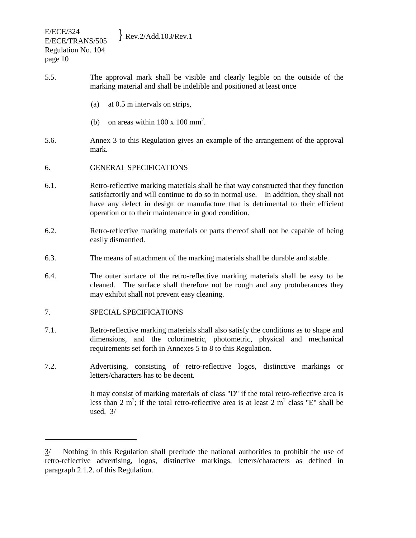- 5.5. The approval mark shall be visible and clearly legible on the outside of the marking material and shall be indelible and positioned at least once
	- (a) at 0.5 m intervals on strips,
	- (b) on areas within  $100 \times 100 \text{ mm}^2$ .
- 5.6. Annex 3 to this Regulation gives an example of the arrangement of the approval mark.
- 6. GENERAL SPECIFICATIONS
- 6.1. Retro-reflective marking materials shall be that way constructed that they function satisfactorily and will continue to do so in normal use. In addition, they shall not have any defect in design or manufacture that is detrimental to their efficient operation or to their maintenance in good condition.
- 6.2. Retro-reflective marking materials or parts thereof shall not be capable of being easily dismantled.
- 6.3. The means of attachment of the marking materials shall be durable and stable.
- 6.4. The outer surface of the retro-reflective marking materials shall be easy to be cleaned. The surface shall therefore not be rough and any protuberances they may exhibit shall not prevent easy cleaning.

## 7. SPECIAL SPECIFICATIONS

<u>.</u>

- 7.1. Retro-reflective marking materials shall also satisfy the conditions as to shape and dimensions, and the colorimetric, photometric, physical and mechanical requirements set forth in Annexes 5 to 8 to this Regulation.
- 7.2. Advertising, consisting of retro-reflective logos, distinctive markings or letters/characters has to be decent.

 It may consist of marking materials of class "D" if the total retro-reflective area is less than 2 m<sup>2</sup>; if the total retro-reflective area is at least 2 m<sup>2</sup> class "E" shall be used. 3/

<sup>3/</sup> Nothing in this Regulation shall preclude the national authorities to prohibit the use of retro-reflective advertising, logos, distinctive markings, letters/characters as defined in paragraph 2.1.2. of this Regulation.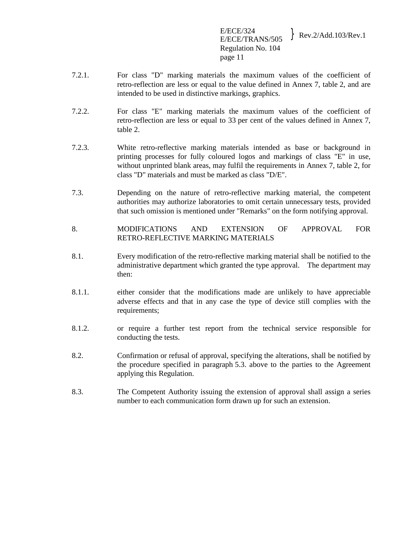E/ECE/324  $E/ECE/324$ <br>E/ECE/TRANS/505 Rev.2/Add.103/Rev.1 Regulation No. 104 page 11

- 7.2.1. For class "D" marking materials the maximum values of the coefficient of retro-reflection are less or equal to the value defined in Annex 7, table 2, and are intended to be used in distinctive markings, graphics.
- 7.2.2. For class "E" marking materials the maximum values of the coefficient of retro-reflection are less or equal to 33 per cent of the values defined in Annex 7, table 2.
- 7.2.3. White retro-reflective marking materials intended as base or background in printing processes for fully coloured logos and markings of class "E" in use, without unprinted blank areas, may fulfil the requirements in Annex 7, table 2, for class "D" materials and must be marked as class "D/E".
- 7.3. Depending on the nature of retro-reflective marking material, the competent authorities may authorize laboratories to omit certain unnecessary tests, provided that such omission is mentioned under "Remarks" on the form notifying approval.
- 8. MODIFICATIONS AND EXTENSION OF APPROVAL FOR RETRO-REFLECTIVE MARKING MATERIALS
- 8.1. Every modification of the retro-reflective marking material shall be notified to the administrative department which granted the type approval. The department may then:
- 8.1.1. either consider that the modifications made are unlikely to have appreciable adverse effects and that in any case the type of device still complies with the requirements;
- 8.1.2. or require a further test report from the technical service responsible for conducting the tests.
- 8.2. Confirmation or refusal of approval, specifying the alterations, shall be notified by the procedure specified in paragraph 5.3. above to the parties to the Agreement applying this Regulation.
- 8.3. The Competent Authority issuing the extension of approval shall assign a series number to each communication form drawn up for such an extension.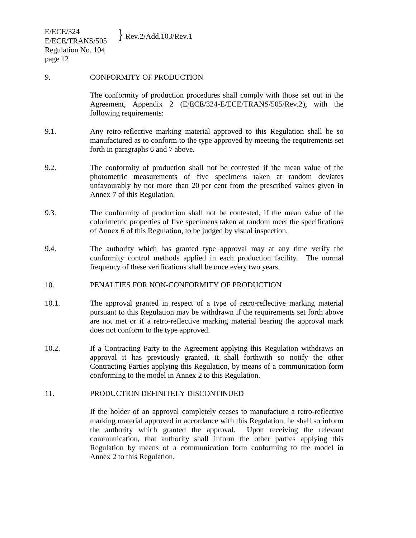E/ECE/324  $E/ECE/STRANS/505$  Rev.2/Add.103/Rev.1 Regulation No. 104 page 12

#### 9. CONFORMITY OF PRODUCTION

 The conformity of production procedures shall comply with those set out in the Agreement, Appendix 2 (E/ECE/324-E/ECE/TRANS/505/Rev.2), with the following requirements:

- 9.1. Any retro-reflective marking material approved to this Regulation shall be so manufactured as to conform to the type approved by meeting the requirements set forth in paragraphs 6 and 7 above.
- 9.2. The conformity of production shall not be contested if the mean value of the photometric measurements of five specimens taken at random deviates unfavourably by not more than 20 per cent from the prescribed values given in Annex 7 of this Regulation.
- 9.3. The conformity of production shall not be contested, if the mean value of the colorimetric properties of five specimens taken at random meet the specifications of Annex 6 of this Regulation, to be judged by visual inspection.
- 9.4. The authority which has granted type approval may at any time verify the conformity control methods applied in each production facility. The normal frequency of these verifications shall be once every two years.

## 10. PENALTIES FOR NON-CONFORMITY OF PRODUCTION

- 10.1. The approval granted in respect of a type of retro-reflective marking material pursuant to this Regulation may be withdrawn if the requirements set forth above are not met or if a retro-reflective marking material bearing the approval mark does not conform to the type approved.
- 10.2. If a Contracting Party to the Agreement applying this Regulation withdraws an approval it has previously granted, it shall forthwith so notify the other Contracting Parties applying this Regulation, by means of a communication form conforming to the model in Annex 2 to this Regulation.

#### 11. PRODUCTION DEFINITELY DISCONTINUED

 If the holder of an approval completely ceases to manufacture a retro-reflective marking material approved in accordance with this Regulation, he shall so inform the authority which granted the approval. Upon receiving the relevant communication, that authority shall inform the other parties applying this Regulation by means of a communication form conforming to the model in Annex 2 to this Regulation.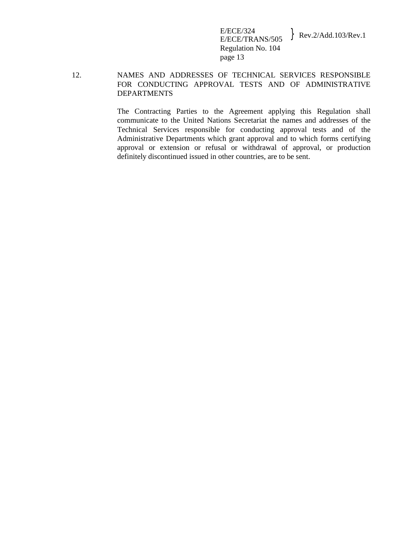E/ECE/324<br>E/ECE/TRANS/505  $\text{Rev.2/Add.103/Rev.1}$ Regulation No. 104 page 13

## 12. NAMES AND ADDRESSES OF TECHNICAL SERVICES RESPONSIBLE FOR CONDUCTING APPROVAL TESTS AND OF ADMINISTRATIVE DEPARTMENTS

 The Contracting Parties to the Agreement applying this Regulation shall communicate to the United Nations Secretariat the names and addresses of the Technical Services responsible for conducting approval tests and of the Administrative Departments which grant approval and to which forms certifying approval or extension or refusal or withdrawal of approval, or production definitely discontinued issued in other countries, are to be sent.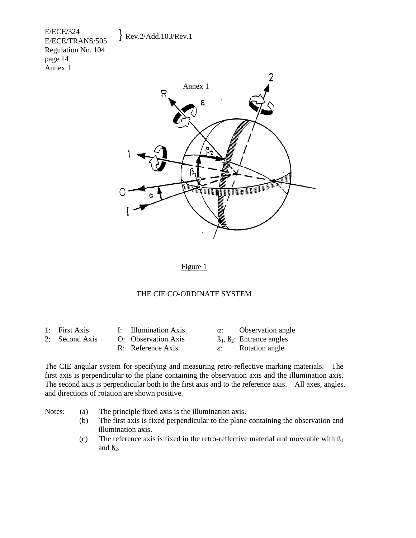E/ECE/324  $E/ECE/324$ <br>E/ECE/TRANS/505 Rev.2/Add.103/Rev.1 Regulation No. 104 page 14 Annex 1



Figure 1

#### THE CIE CO-ORDINATE SYSTEM

| <b>First Axis</b> |  |
|-------------------|--|
|                   |  |
|                   |  |

1: Illumination Axis  $\alpha$ : Observation angle 2: Second Axis O: Observation Axis  $\beta_1, \beta_2$ : Entrance angles R: Reference Axis **ε:** Rotation angle

The CIE angular system for specifying and measuring retro-reflective marking materials. The first axis is perpendicular to the plane containing the observation axis and the illumination axis. The second axis is perpendicular both to the first axis and to the reference axis. All axes, angles, and directions of rotation are shown positive.

Notes: (a) The principle fixed axis is the illumination axis.

- (b) The first axis is fixed perpendicular to the plane containing the observation and illumination axis.
- (c) The reference axis is fixed in the retro-reflective material and moveable with  $\beta_1$ and  $\beta_2$ .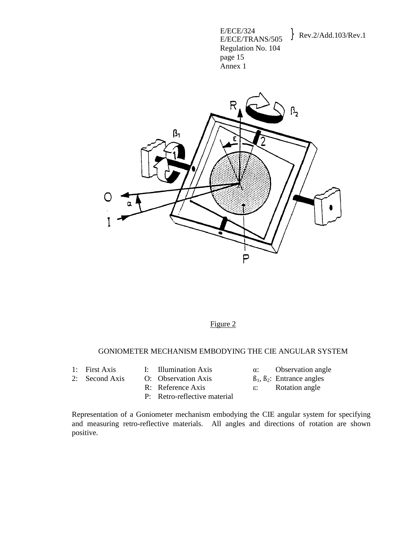E/ECE/324<br>E/ECE/TRANS/505 Regulation No. 104 page 15 Annex 1

## Rev.2/Add.103/Rev.1



## Figure 2

#### GONIOMETER MECHANISM EMBODYING THE CIE ANGULAR SYSTEM

- 
- 1: First Axis I: Illumination Axis α: Observation angle
	-
- 
- 2: Second Axis O: Observation Axis  $\beta_1, \beta_2$ : Entrance angles
	- R: Reference Axis **ε:** Rotation angle
	- P: Retro-reflective material
- 
- 
- 

Representation of a Goniometer mechanism embodying the CIE angular system for specifying and measuring retro-reflective materials. All angles and directions of rotation are shown positive.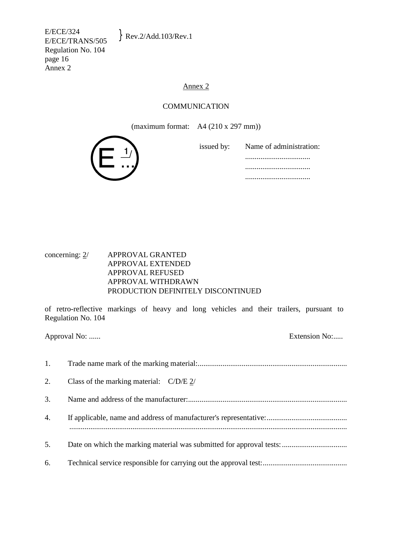E/ECE/324  $E/ECE/STRANS/505$  Rev.2/Add.103/Rev.1 Regulation No. 104 page 16 Annex 2

#### Annex 2

#### COMMUNICATION

(maximum format: A4 (210 x 297 mm))



| issued by: Name of administration: |
|------------------------------------|
|                                    |
|                                    |
|                                    |

concerning: 2/ APPROVAL GRANTED APPROVAL EXTENDED APPROVAL REFUSED APPROVAL WITHDRAWN PRODUCTION DEFINITELY DISCONTINUED

of retro-reflective markings of heavy and long vehicles and their trailers, pursuant to Regulation No. 104

Approval No: ...... 1. Trade name mark of the marking material:.............................................................................. 2. Class of the marking material: C/D/E 2/ 3. Name and address of the manufacturer:................................................................................... 4. If applicable, name and address of manufacturer's representative:.......................................... ................................................................................................................................................. 5. Date on which the marking material was submitted for approval tests:.................................. 6. Technical service responsible for carrying out the approval test:............................................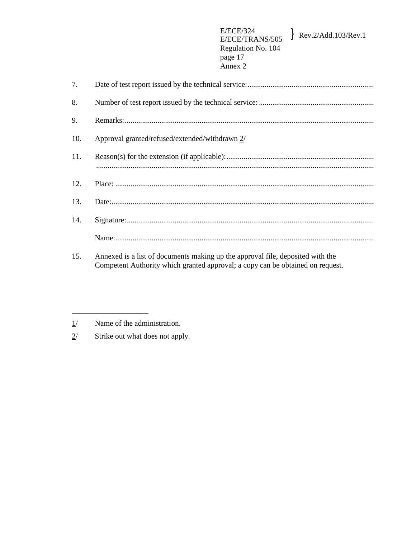| 7.  |                                                |
|-----|------------------------------------------------|
| 8.  |                                                |
| 9.  |                                                |
| 10. | Approval granted/refused/extended/withdrawn 2/ |
| 11. |                                                |
| 12. |                                                |
| 13. |                                                |
| 14. |                                                |
|     |                                                |

15. Annexed is a list of documents making up the approval file, deposited with the Competent Authority which granted approval; a copy can be obtained on request.

 $1/$ Name of the administration.

 $2/$ Strike out what does not apply.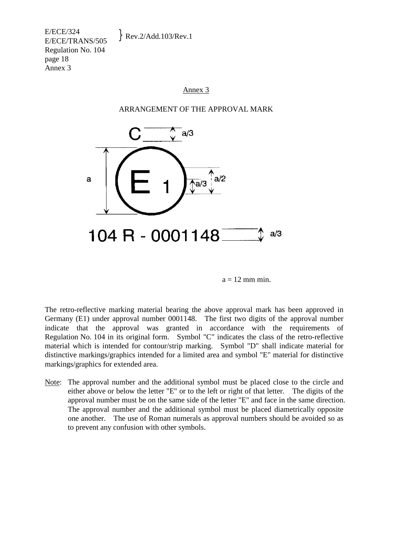E/ECE/324  $E/ECE/STRANS/505$  Rev.2/Add.103/Rev.1 Regulation No. 104 page 18 Annex 3

#### Annex 3

#### ARRANGEMENT OF THE APPROVAL MARK



 $a = 12$  mm min.

The retro-reflective marking material bearing the above approval mark has been approved in Germany (E1) under approval number 0001148. The first two digits of the approval number indicate that the approval was granted in accordance with the requirements of Regulation No. 104 in its original form. Symbol "C" indicates the class of the retro-reflective material which is intended for contour/strip marking. Symbol "D" shall indicate material for distinctive markings/graphics intended for a limited area and symbol "E" material for distinctive markings/graphics for extended area.

Note: The approval number and the additional symbol must be placed close to the circle and either above or below the letter "E" or to the left or right of that letter. The digits of the approval number must be on the same side of the letter "E" and face in the same direction. The approval number and the additional symbol must be placed diametrically opposite one another. The use of Roman numerals as approval numbers should be avoided so as to prevent any confusion with other symbols.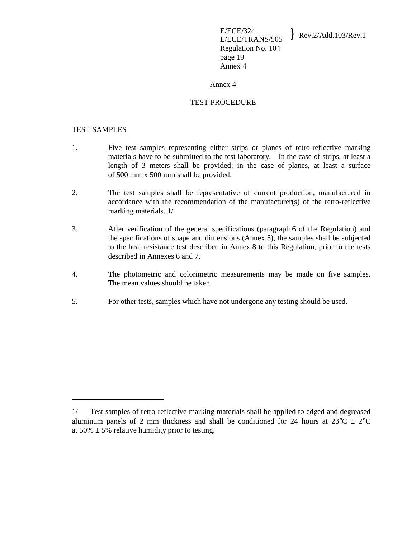#### Annex 4

#### TEST PROCEDURE

#### TEST SAMPLES

i<br>L

- 1. Five test samples representing either strips or planes of retro-reflective marking materials have to be submitted to the test laboratory. In the case of strips, at least a length of 3 meters shall be provided; in the case of planes, at least a surface of 500 mm x 500 mm shall be provided.
- 2. The test samples shall be representative of current production, manufactured in accordance with the recommendation of the manufacturer(s) of the retro-reflective marking materials. 1/
- 3. After verification of the general specifications (paragraph 6 of the Regulation) and the specifications of shape and dimensions (Annex 5), the samples shall be subjected to the heat resistance test described in Annex 8 to this Regulation, prior to the tests described in Annexes 6 and 7.
- 4. The photometric and colorimetric measurements may be made on five samples. The mean values should be taken.
- 5. For other tests, samples which have not undergone any testing should be used.

<sup>1/</sup> Test samples of retro-reflective marking materials shall be applied to edged and degreased aluminum panels of 2 mm thickness and shall be conditioned for 24 hours at  $23^{\circ}C \pm 2^{\circ}C$ at  $50\% \pm 5\%$  relative humidity prior to testing.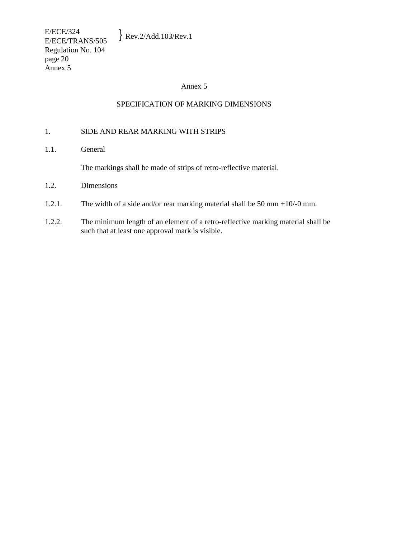#### Annex 5

#### SPECIFICATION OF MARKING DIMENSIONS

#### 1. SIDE AND REAR MARKING WITH STRIPS

1.1. General

The markings shall be made of strips of retro-reflective material.

- 1.2. Dimensions
- 1.2.1. The width of a side and/or rear marking material shall be 50 mm +10/-0 mm.
- 1.2.2. The minimum length of an element of a retro-reflective marking material shall be such that at least one approval mark is visible.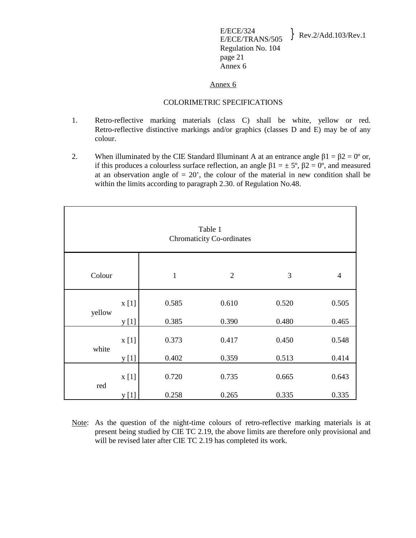E/ECE/324  $E/ECE/324$ <br>E/ECE/TRANS/505 Rev.2/Add.103/Rev.1 Regulation No. 104 page 21 Annex 6

#### Annex 6

#### COLORIMETRIC SPECIFICATIONS

- 1. Retro-reflective marking materials (class C) shall be white, yellow or red. Retro-reflective distinctive markings and/or graphics (classes D and E) may be of any colour.
- 2. When illuminated by the CIE Standard Illuminant A at an entrance angle  $\beta$ 1 =  $\beta$ 2 = 0° or, if this produces a colourless surface reflection, an angle  $β1 = ±5°$ ,  $β2 = 0°$ , and measured at an observation angle of  $= 20$ , the colour of the material in new condition shall be within the limits according to paragraph 2.30. of Regulation No.48.

| Table 1<br><b>Chromaticity Co-ordinates</b> |       |              |                |       |                |  |  |
|---------------------------------------------|-------|--------------|----------------|-------|----------------|--|--|
| Colour                                      |       | $\mathbf{1}$ | $\overline{2}$ | 3     | $\overline{4}$ |  |  |
|                                             | x[1]  | 0.585        | 0.610          | 0.520 | 0.505          |  |  |
| yellow                                      | y [1] | 0.385        | 0.390          | 0.480 | 0.465          |  |  |
| white                                       | x[1]  | 0.373        | 0.417          | 0.450 | 0.548          |  |  |
|                                             | y [1] | 0.402        | 0.359          | 0.513 | 0.414          |  |  |
| red                                         | x[1]  | 0.720        | 0.735          | 0.665 | 0.643          |  |  |
|                                             | y [1] | 0.258        | 0.265          | 0.335 | 0.335          |  |  |

Note: As the question of the night-time colours of retro-reflective marking materials is at present being studied by CIE TC 2.19, the above limits are therefore only provisional and will be revised later after CIE TC 2.19 has completed its work.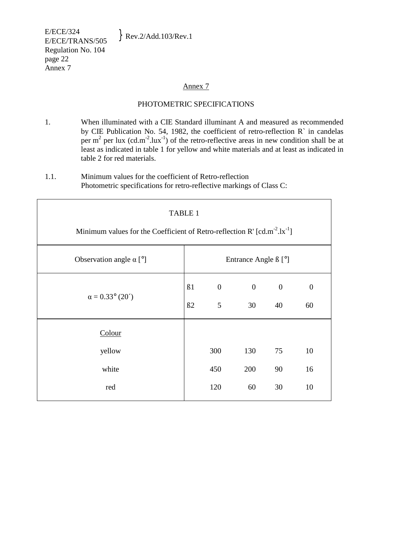E/ECE/324  $E/ECE/324$ <br>E/ECE/TRANS/505 Rev.2/Add.103/Rev.1 Regulation No. 104 page 22 Annex 7

#### Annex 7

### PHOTOMETRIC SPECIFICATIONS

- 1. When illuminated with a CIE Standard illuminant A and measured as recommended by CIE Publication No. 54, 1982, the coefficient of retro-reflection R` in candelas per  $m^2$  per lux (cd.m<sup>-2</sup>.lux<sup>-1</sup>) of the retro-reflective areas in new condition shall be at least as indicated in table 1 for yellow and white materials and at least as indicated in table 2 for red materials.
- 1.1. Minimum values for the coefficient of Retro-reflection Photometric specifications for retro-reflective markings of Class C:

| TABLE 1<br>Minimum values for the Coefficient of Retro-reflection R' $[cd.m^{-2}.lx^{-1}]$ |                      |                       |                    |                      |                        |  |
|--------------------------------------------------------------------------------------------|----------------------|-----------------------|--------------------|----------------------|------------------------|--|
| Observation angle $\alpha$ [°]                                                             | Entrance Angle ß [°] |                       |                    |                      |                        |  |
| $\alpha = 0.33^{\circ} (20^{\prime})$                                                      | B1<br>B2             | $\boldsymbol{0}$<br>5 | $\mathbf{0}$<br>30 | $\overline{0}$<br>40 | $\boldsymbol{0}$<br>60 |  |
| Colour                                                                                     |                      |                       |                    |                      |                        |  |
| yellow                                                                                     |                      | 300                   | 130                | 75                   | 10                     |  |
| white                                                                                      |                      | 450                   | 200                | 90                   | 16                     |  |
| red                                                                                        |                      | 120                   | 60                 | 30                   | 10                     |  |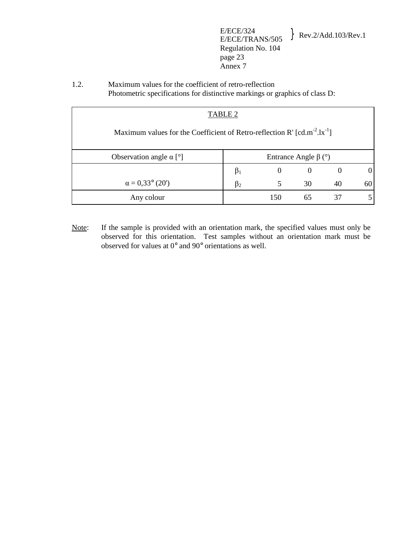E/ECE/324  $E/ECE/324$ <br>E/ECE/TRANS/505 Rev.2/Add.103/Rev.1 Regulation No. 104 page 23 Annex 7

1.2. Maximum values for the coefficient of retro-reflection Photometric specifications for distinctive markings or graphics of class D:

| TABLE 2                                                                                                   |                                |          |          |    |    |  |  |
|-----------------------------------------------------------------------------------------------------------|--------------------------------|----------|----------|----|----|--|--|
|                                                                                                           |                                |          |          |    |    |  |  |
| Maximum values for the Coefficient of Retro-reflection R' $\lceil$ cd.m <sup>-2</sup> .lx <sup>-1</sup> ] |                                |          |          |    |    |  |  |
|                                                                                                           |                                |          |          |    |    |  |  |
| Observation angle $\alpha$ [°]                                                                            | Entrance Angle β ( $\degree$ ) |          |          |    |    |  |  |
|                                                                                                           | $\beta_1$                      | $\theta$ | $\theta$ |    |    |  |  |
| $\alpha = 0.33^{\circ}$ (20')                                                                             | ß,                             |          | 30       | 40 | 61 |  |  |
| Any colour                                                                                                |                                | 150      | 65       | 37 |    |  |  |

Note: If the sample is provided with an orientation mark, the specified values must only be observed for this orientation. Test samples without an orientation mark must be observed for values at 0° and 90° orientations as well.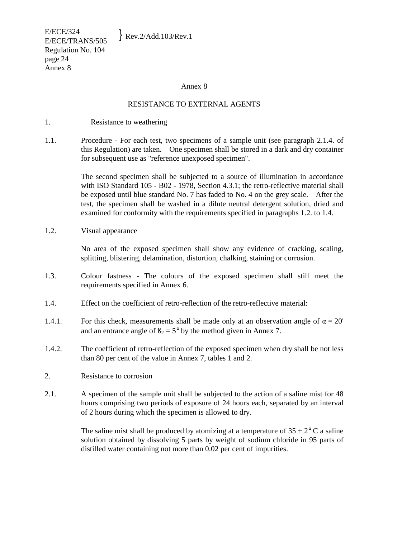E/ECE/324  $E/ECE/STRANS/505$  Rev.2/Add.103/Rev.1 Regulation No. 104 page 24 Annex 8

#### Annex 8

#### RESISTANCE TO EXTERNAL AGENTS

- 1. Resistance to weathering
- 1.1. Procedure For each test, two specimens of a sample unit (see paragraph 2.1.4. of this Regulation) are taken. One specimen shall be stored in a dark and dry container for subsequent use as "reference unexposed specimen".

 The second specimen shall be subjected to a source of illumination in accordance with ISO Standard 105 - B02 - 1978, Section 4.3.1; the retro-reflective material shall be exposed until blue standard No. 7 has faded to No. 4 on the grey scale. After the test, the specimen shall be washed in a dilute neutral detergent solution, dried and examined for conformity with the requirements specified in paragraphs 1.2. to 1.4.

1.2. Visual appearance

 No area of the exposed specimen shall show any evidence of cracking, scaling, splitting, blistering, delamination, distortion, chalking, staining or corrosion.

- 1.3. Colour fastness The colours of the exposed specimen shall still meet the requirements specified in Annex 6.
- 1.4. Effect on the coefficient of retro-reflection of the retro-reflective material:
- 1.4.1. For this check, measurements shall be made only at an observation angle of  $\alpha = 20'$ and an entrance angle of  $B_2 = 5^\circ$  by the method given in Annex 7.
- 1.4.2. The coefficient of retro-reflection of the exposed specimen when dry shall be not less than 80 per cent of the value in Annex 7, tables 1 and 2.
- 2. Resistance to corrosion
- 2.1. A specimen of the sample unit shall be subjected to the action of a saline mist for 48 hours comprising two periods of exposure of 24 hours each, separated by an interval of 2 hours during which the specimen is allowed to dry.

The saline mist shall be produced by atomizing at a temperature of  $35 \pm 2^{\circ}$  C a saline solution obtained by dissolving 5 parts by weight of sodium chloride in 95 parts of distilled water containing not more than 0.02 per cent of impurities.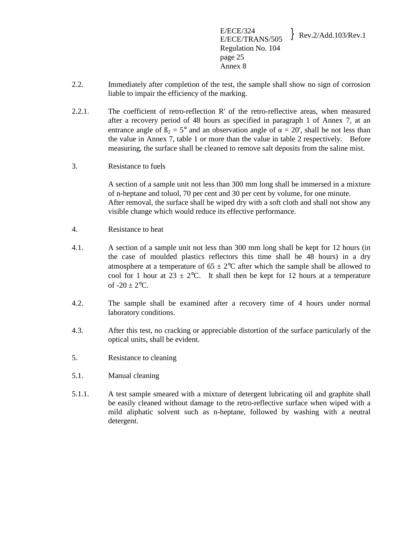E/ECE/324  $E/ECE/324$ <br>E/ECE/TRANS/505 Rev.2/Add.103/Rev.1 Regulation No. 104 page 25 Annex 8

- 2.2. Immediately after completion of the test, the sample shall show no sign of corrosion liable to impair the efficiency of the marking.
- 2.2.1. The coefficient of retro-reflection R' of the retro-reflective areas, when measured after a recovery period of 48 hours as specified in paragraph 1 of Annex 7, at an entrance angle of  $\beta_2 = 5^{\circ}$  and an observation angle of  $\alpha = 20'$ , shall be not less than the value in Annex 7, table 1 or more than the value in table 2 respectively. Before measuring, the surface shall be cleaned to remove salt deposits from the saline mist.
- 3. Resistance to fuels

 A section of a sample unit not less than 300 mm long shall be immersed in a mixture of n-heptane and toluol, 70 per cent and 30 per cent by volume, for one minute. After removal, the surface shall be wiped dry with a soft cloth and shall not show any visible change which would reduce its effective performance.

- 4. Resistance to heat
- 4.1. A section of a sample unit not less than 300 mm long shall be kept for 12 hours (in the case of moulded plastics reflectors this time shall be 48 hours) in a dry atmosphere at a temperature of  $65 \pm 2$ °C after which the sample shall be allowed to cool for 1 hour at  $23 \pm 2$ °C. It shall then be kept for 12 hours at a temperature of  $-20 \pm 2$ °C.
- 4.2. The sample shall be examined after a recovery time of 4 hours under normal laboratory conditions.
- 4.3. After this test, no cracking or appreciable distortion of the surface particularly of the optical units, shall be evident.
- 5. Resistance to cleaning
- 5.1. Manual cleaning
- 5.1.1. A test sample smeared with a mixture of detergent lubricating oil and graphite shall be easily cleaned without damage to the retro-reflective surface when wiped with a mild aliphatic solvent such as n-heptane, followed by washing with a neutral detergent.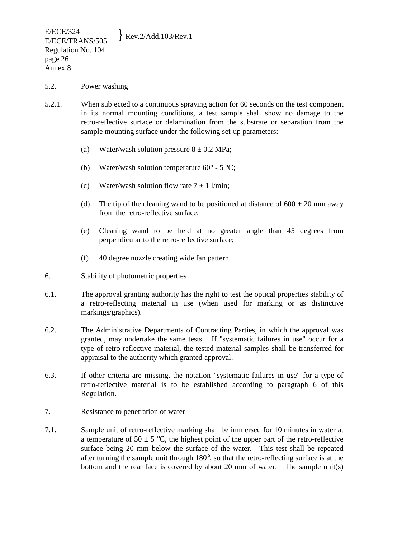#### 5.2. Power washing

- 5.2.1. When subjected to a continuous spraying action for 60 seconds on the test component in its normal mounting conditions, a test sample shall show no damage to the retro-reflective surface or delamination from the substrate or separation from the sample mounting surface under the following set-up parameters:
	- (a) Water/wash solution pressure  $8 \pm 0.2$  MPa;
	- (b) Water/wash solution temperature  $60^{\circ}$  5  $^{\circ}$ C;
	- (c) Water/wash solution flow rate  $7 \pm 1$  l/min;
	- (d) The tip of the cleaning wand to be positioned at distance of  $600 \pm 20$  mm away from the retro-reflective surface;
	- (e) Cleaning wand to be held at no greater angle than 45 degrees from perpendicular to the retro-reflective surface;
	- (f) 40 degree nozzle creating wide fan pattern.
- 6. Stability of photometric properties
- 6.1. The approval granting authority has the right to test the optical properties stability of a retro-reflecting material in use (when used for marking or as distinctive markings/graphics).
- 6.2. The Administrative Departments of Contracting Parties, in which the approval was granted, may undertake the same tests. If "systematic failures in use" occur for a type of retro-reflective material, the tested material samples shall be transferred for appraisal to the authority which granted approval.
- 6.3. If other criteria are missing, the notation "systematic failures in use" for a type of retro-reflective material is to be established according to paragraph 6 of this Regulation.
- 7. Resistance to penetration of water
- 7.1. Sample unit of retro-reflective marking shall be immersed for 10 minutes in water at a temperature of 50  $\pm$  5 °C, the highest point of the upper part of the retro-reflective surface being 20 mm below the surface of the water. This test shall be repeated after turning the sample unit through 180°, so that the retro-reflecting surface is at the bottom and the rear face is covered by about 20 mm of water. The sample unit(s)